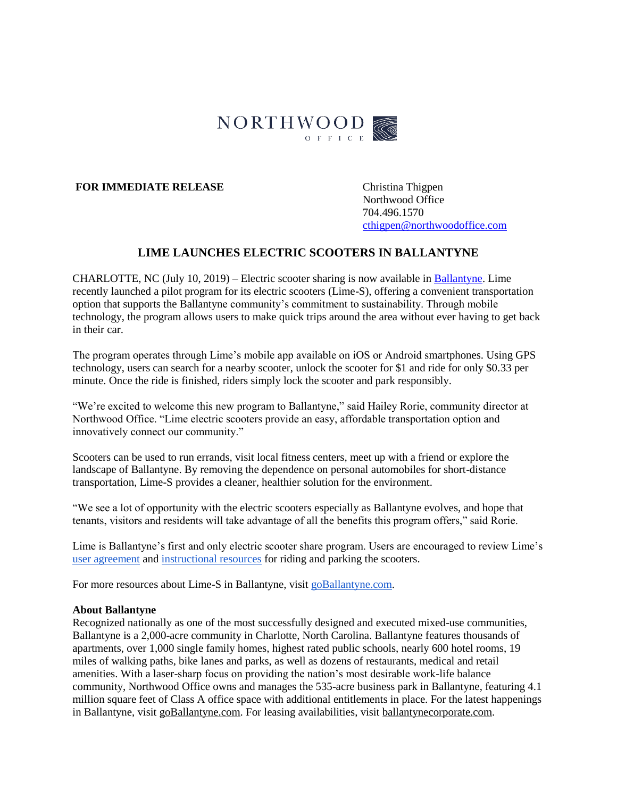

## **FOR IMMEDIATE RELEASE** Christina Thigpen

Northwood Office 704.496.1570 [cthigpen@northwoodoffice.com](mailto:cthigpen@northwoodoffice.com)

# **LIME LAUNCHES ELECTRIC SCOOTERS IN BALLANTYNE**

CHARLOTTE, NC (July 10, 2019) – Electric scooter sharing is now available in [Ballantyne.](https://www.goballantyne.com/) Lime recently launched a pilot program for its electric scooters (Lime-S), offering a convenient transportation option that supports the Ballantyne community's commitment to sustainability. Through mobile technology, the program allows users to make quick trips around the area without ever having to get back in their car.

The program operates through Lime's mobile app available on iOS or Android smartphones. Using GPS technology, users can search for a nearby scooter, unlock the scooter for \$1 and ride for only \$0.33 per minute. Once the ride is finished, riders simply lock the scooter and park responsibly.

"We're excited to welcome this new program to Ballantyne," said Hailey Rorie, community director at Northwood Office. "Lime electric scooters provide an easy, affordable transportation option and innovatively connect our community."

Scooters can be used to run errands, visit local fitness centers, meet up with a friend or explore the landscape of Ballantyne. By removing the dependence on personal automobiles for short-distance transportation, Lime-S provides a cleaner, healthier solution for the environment.

"We see a lot of opportunity with the electric scooters especially as Ballantyne evolves, and hope that tenants, visitors and residents will take advantage of all the benefits this program offers," said Rorie.

Lime is Ballantyne's first and only electric scooter share program. Users are encouraged to review Lime's [user agreement](https://www.li.me/user-agreement) and [instructional resources](https://www.li.me/electric-scooter) for riding and parking the scooters.

For more resources about Lime-S in Ballantyne, visit [goBallantyne.com.](https://www.goballantyne.com/)

#### **About Ballantyne**

Recognized nationally as one of the most successfully designed and executed mixed-use communities, Ballantyne is a 2,000-acre community in Charlotte, North Carolina. Ballantyne features thousands of apartments, over 1,000 single family homes, highest rated public schools, nearly 600 hotel rooms, 19 miles of walking paths, bike lanes and parks, as well as dozens of restaurants, medical and retail amenities. With a laser-sharp focus on providing the nation's most desirable work-life balance community, Northwood Office owns and manages the 535-acre business park in Ballantyne, featuring 4.1 million square feet of Class A office space with additional entitlements in place. For the latest happenings in Ballantyne, visit [goBallantyne.com.](https://www.goballantyne.com/) For leasing availabilities, visit [ballantynecorporate.com.](http://www.balllantynecorporate.com/)